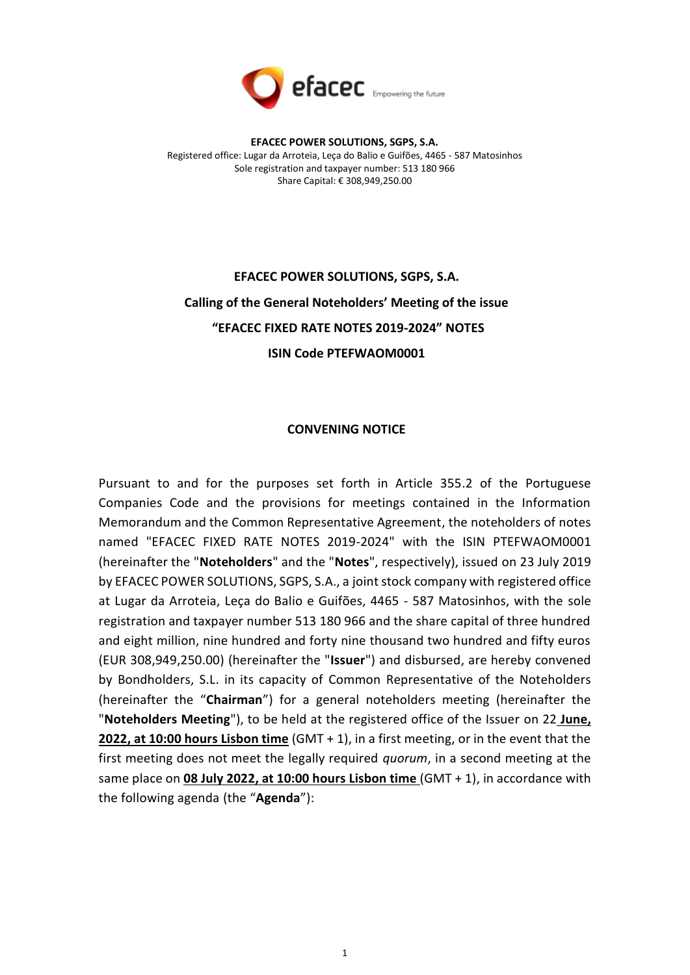

# **EFACEC POWER SOLUTIONS, SGPS, S.A. Calling of the General Noteholders' Meeting of the issue "EFACEC FIXED RATE NOTES 2019-2024" NOTES ISIN Code PTEFWAOM0001**

## **CONVENING NOTICE**

Pursuant to and for the purposes set forth in Article 355.2 of the Portuguese Companies Code and the provisions for meetings contained in the Information Memorandum and the Common Representative Agreement, the noteholders of notes named "EFACEC FIXED RATE NOTES 2019-2024" with the ISIN PTEFWAOM0001 (hereinafter the "**Noteholders**" and the "**Notes**", respectively), issued on 23 July 2019 by EFACEC POWER SOLUTIONS, SGPS, S.A., a joint stock company with registered office at Lugar da Arroteia, Leça do Balio e Guifões, 4465 - 587 Matosinhos, with the sole registration and taxpayer number 513 180 966 and the share capital of three hundred and eight million, nine hundred and forty nine thousand two hundred and fifty euros (EUR 308,949,250.00) (hereinafter the "**Issuer**") and disbursed, are hereby convened by Bondholders, S.L. in its capacity of Common Representative of the Noteholders (hereinafter the "**Chairman**") for a general noteholders meeting (hereinafter the "**Noteholders Meeting**"), to be held at the registered office of the Issuer on 22 **June, 2022, at 10:00 hours Lisbon time** (GMT + 1), in a first meeting, or in the event that the first meeting does not meet the legally required *quorum*, in a second meeting at the same place on **08 July 2022, at 10:00 hours Lisbon time** (GMT + 1), in accordance with the following agenda (the "**Agenda**"):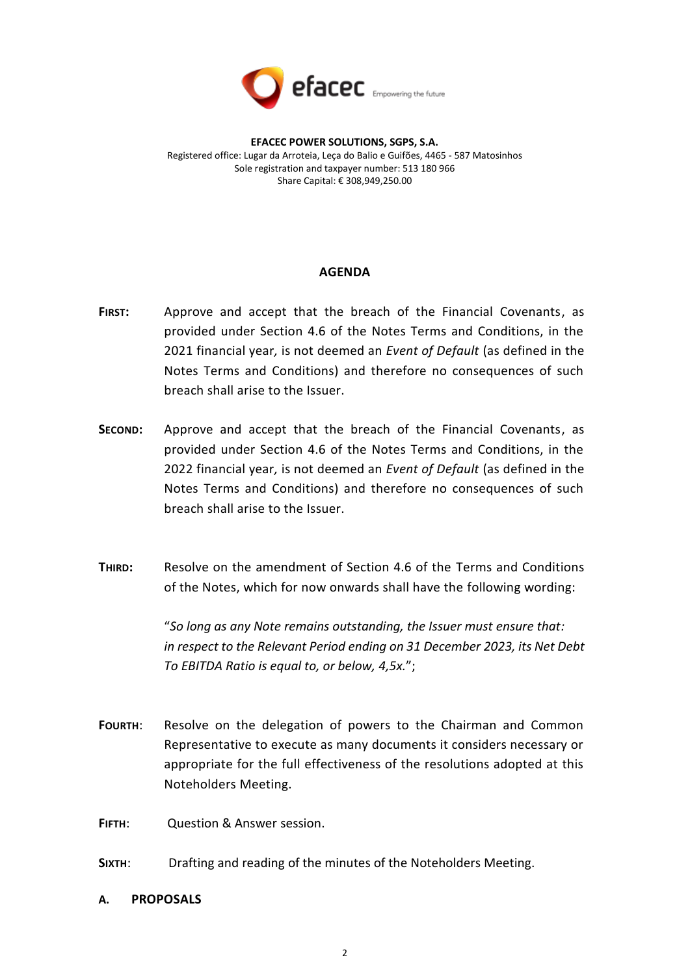

#### **AGENDA**

- **FIRST:** Approve and accept that the breach of the Financial Covenants, as provided under Section 4.6 of the Notes Terms and Conditions, in the 2021 financial year*,* is not deemed an *Event of Default* (as defined in the Notes Terms and Conditions) and therefore no consequences of such breach shall arise to the Issuer.
- **SECOND:** Approve and accept that the breach of the Financial Covenants, as provided under Section 4.6 of the Notes Terms and Conditions, in the 2022 financial year*,* is not deemed an *Event of Default* (as defined in the Notes Terms and Conditions) and therefore no consequences of such breach shall arise to the Issuer.
- **THIRD:** Resolve on the amendment of Section 4.6 of the Terms and Conditions of the Notes, which for now onwards shall have the following wording:

"*So long as any Note remains outstanding, the Issuer must ensure that: in respect to the Relevant Period ending on 31 December 2023, its Net Debt To EBITDA Ratio is equal to, or below, 4,5x.*";

**FOURTH**: Resolve on the delegation of powers to the Chairman and Common Representative to execute as many documents it considers necessary or appropriate for the full effectiveness of the resolutions adopted at this Noteholders Meeting.

**FIFTH**: Question & Answer session.

- **SIXTH**: Drafting and reading of the minutes of the Noteholders Meeting.
- **A. PROPOSALS**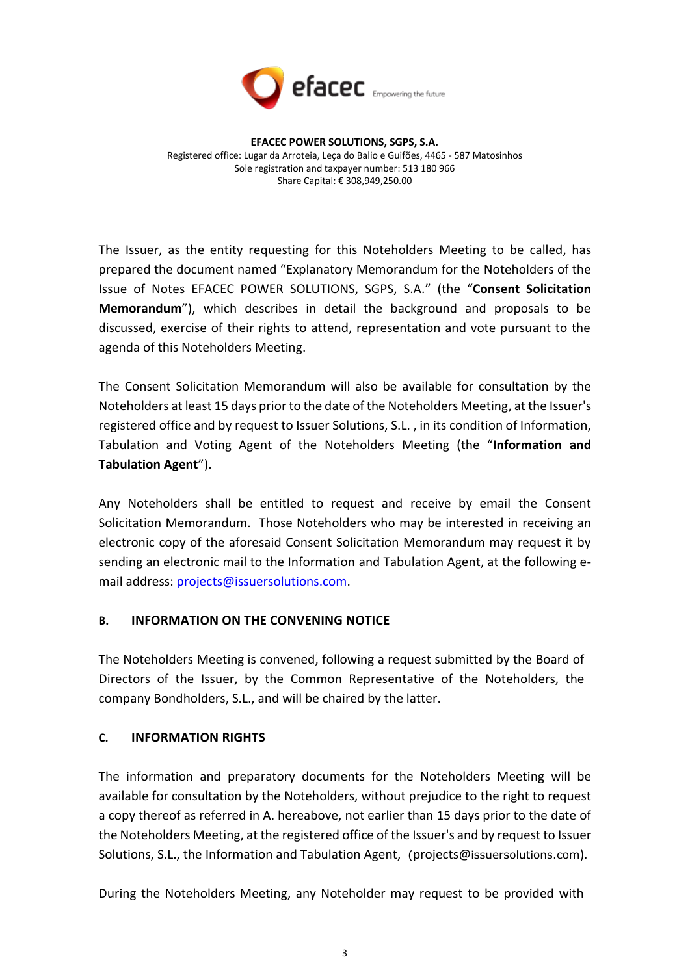

The Issuer, as the entity requesting for this Noteholders Meeting to be called, has prepared the document named "Explanatory Memorandum for the Noteholders of the Issue of Notes EFACEC POWER SOLUTIONS, SGPS, S.A." (the "**Consent Solicitation Memorandum**"), which describes in detail the background and proposals to be discussed, exercise of their rights to attend, representation and vote pursuant to the agenda of this Noteholders Meeting.

The Consent Solicitation Memorandum will also be available for consultation by the Noteholders at least 15 days prior to the date of the Noteholders Meeting, at the Issuer's registered office and by request to Issuer Solutions, S.L. , in its condition of Information, Tabulation and Voting Agent of the Noteholders Meeting (the "**Information and Tabulation Agent**").

Any Noteholders shall be entitled to request and receive by email the Consent Solicitation Memorandum. Those Noteholders who may be interested in receiving an electronic copy of the aforesaid Consent Solicitation Memorandum may request it by sending an electronic mail to the Information and Tabulation Agent, at the following email address: [projects@issuersolutions.com.](mailto:projects@issuersolutions.com)

# **B. INFORMATION ON THE CONVENING NOTICE**

The Noteholders Meeting is convened, following a request submitted by the Board of Directors of the Issuer, by the Common Representative of the Noteholders, the company Bondholders, S.L., and will be chaired by the latter.

#### **C. INFORMATION RIGHTS**

The information and preparatory documents for the Noteholders Meeting will be available for consultation by the Noteholders, without prejudice to the right to request a copy thereof as referred in A. hereabove, not earlier than 15 days prior to the date of the Noteholders Meeting, at the registered office of the Issuer's and by request to Issuer Solutions, S.L., the Information and Tabulation Agent, (projects@issuersolutions.com).

During the Noteholders Meeting, any Noteholder may request to be provided with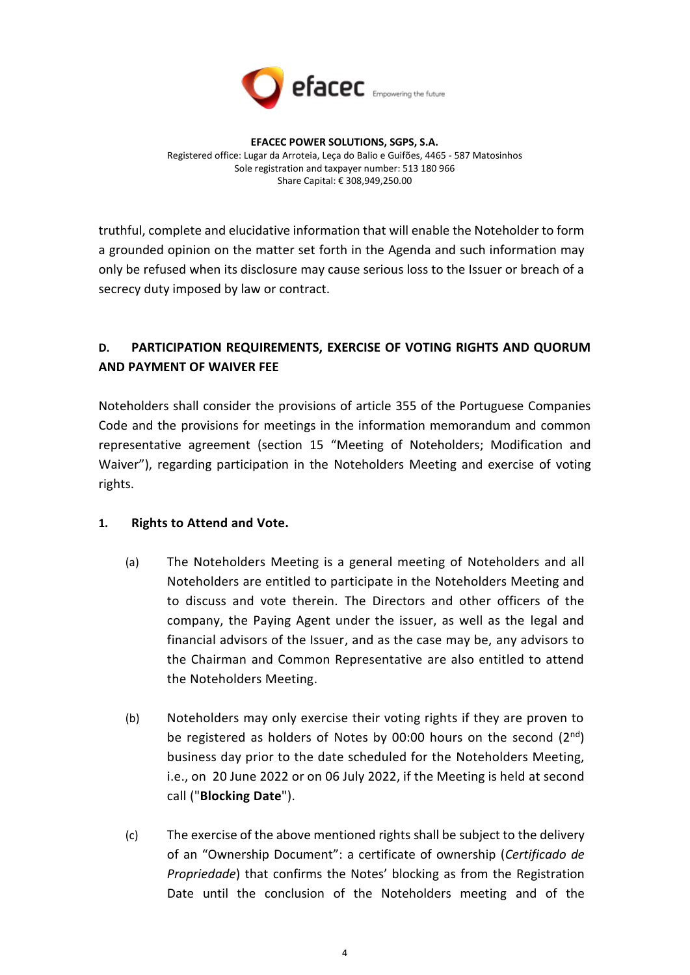

truthful, complete and elucidative information that will enable the Noteholder to form a grounded opinion on the matter set forth in the Agenda and such information may only be refused when its disclosure may cause serious loss to the Issuer or breach of a secrecy duty imposed by law or contract.

# **D. PARTICIPATION REQUIREMENTS, EXERCISE OF VOTING RIGHTS AND QUORUM AND PAYMENT OF WAIVER FEE**

Noteholders shall consider the provisions of article 355 of the Portuguese Companies Code and the provisions for meetings in the information memorandum and common representative agreement (section 15 "Meeting of Noteholders; Modification and Waiver"), regarding participation in the Noteholders Meeting and exercise of voting rights.

# **1. Rights to Attend and Vote.**

- (a) The Noteholders Meeting is a general meeting of Noteholders and all Noteholders are entitled to participate in the Noteholders Meeting and to discuss and vote therein. The Directors and other officers of the company, the Paying Agent under the issuer, as well as the legal and financial advisors of the Issuer, and as the case may be, any advisors to the Chairman and Common Representative are also entitled to attend the Noteholders Meeting.
- (b) Noteholders may only exercise their voting rights if they are proven to be registered as holders of Notes by 00:00 hours on the second  $(2^{nd})$ business day prior to the date scheduled for the Noteholders Meeting, i.e., on 20 June 2022 or on 06 July 2022, if the Meeting is held at second call ("**Blocking Date**").
- (c) The exercise of the above mentioned rights shall be subject to the delivery of an "Ownership Document": a certificate of ownership (*Certificado de Propriedade*) that confirms the Notes' blocking as from the Registration Date until the conclusion of the Noteholders meeting and of the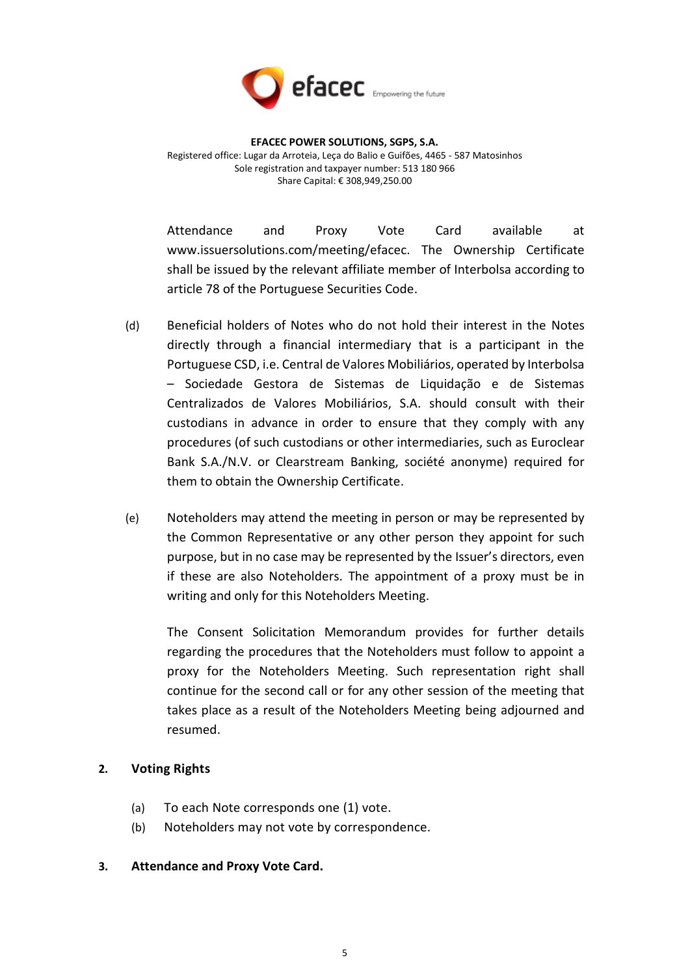

Attendance and Proxy Vote Card available at www.issuersolutions.com/meeting/efacec. The Ownership Certificate shall be issued by the relevant affiliate member of Interbolsa according to article 78 of the Portuguese Securities Code.

- (d) Beneficial holders of Notes who do not hold their interest in the Notes directly through a financial intermediary that is a participant in the Portuguese CSD, i.e. Central de Valores Mobiliários, operated by Interbolsa – Sociedade Gestora de Sistemas de Liquidação e de Sistemas Centralizados de Valores Mobiliários, S.A. should consult with their custodians in advance in order to ensure that they comply with any procedures (of such custodians or other intermediaries, such as Euroclear Bank S.A./N.V. or Clearstream Banking, société anonyme) required for them to obtain the Ownership Certificate.
- (e) Noteholders may attend the meeting in person or may be represented by the Common Representative or any other person they appoint for such purpose, but in no case may be represented by the Issuer's directors, even if these are also Noteholders. The appointment of a proxy must be in writing and only for this Noteholders Meeting.

The Consent Solicitation Memorandum provides for further details regarding the procedures that the Noteholders must follow to appoint a proxy for the Noteholders Meeting. Such representation right shall continue for the second call or for any other session of the meeting that takes place as a result of the Noteholders Meeting being adjourned and resumed.

# **2. Voting Rights**

- (a) To each Note corresponds one (1) vote.
- (b) Noteholders may not vote by correspondence.

#### **3. Attendance and Proxy Vote Card.**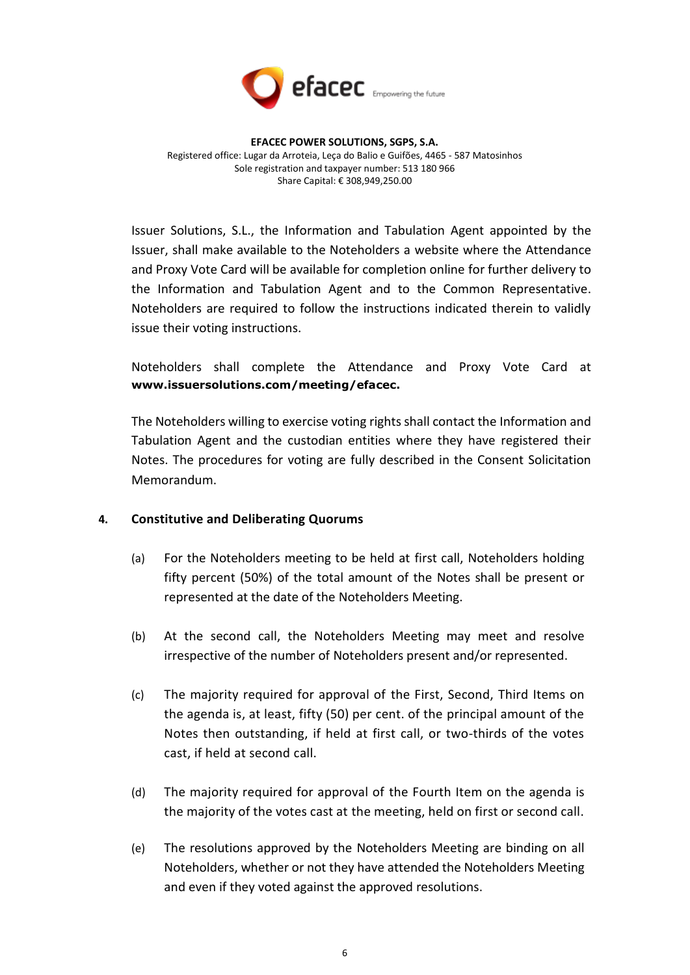

Issuer Solutions, S.L., the Information and Tabulation Agent appointed by the Issuer, shall make available to the Noteholders a website where the Attendance and Proxy Vote Card will be available for completion online for further delivery to the Information and Tabulation Agent and to the Common Representative. Noteholders are required to follow the instructions indicated therein to validly issue their voting instructions.

Noteholders shall complete the Attendance and Proxy Vote Card at **www.issuersolutions.com/meeting/efacec.** 

The Noteholders willing to exercise voting rights shall contact the Information and Tabulation Agent and the custodian entities where they have registered their Notes. The procedures for voting are fully described in the Consent Solicitation Memorandum.

# **4. Constitutive and Deliberating Quorums**

- (a) For the Noteholders meeting to be held at first call, Noteholders holding fifty percent (50%) of the total amount of the Notes shall be present or represented at the date of the Noteholders Meeting.
- (b) At the second call, the Noteholders Meeting may meet and resolve irrespective of the number of Noteholders present and/or represented.
- (c) The majority required for approval of the First, Second, Third Items on the agenda is, at least, fifty (50) per cent. of the principal amount of the Notes then outstanding, if held at first call, or two-thirds of the votes cast, if held at second call.
- (d) The majority required for approval of the Fourth Item on the agenda is the majority of the votes cast at the meeting, held on first or second call.
- (e) The resolutions approved by the Noteholders Meeting are binding on all Noteholders, whether or not they have attended the Noteholders Meeting and even if they voted against the approved resolutions.